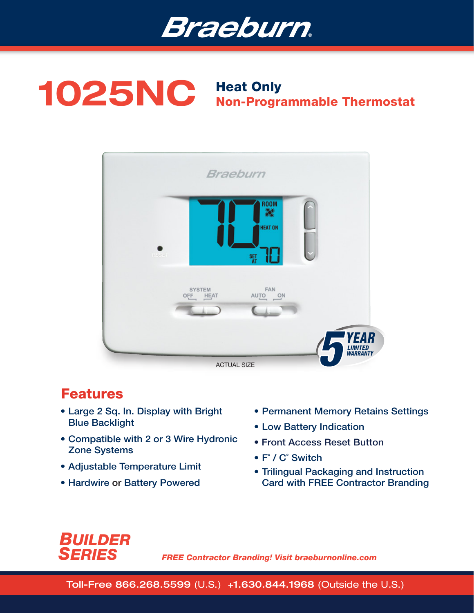

# 1025NC Heat Only Non-Programmable Thermostat



## Features

- Large 2 Sq. In. Display with Bright Blue Backlight
- Compatible with 2 or 3 Wire Hydronic Zone Systems
- Adjustable Temperature Limit
- Hardwire or Battery Powered
- Permanent Memory Retains Settings
- Low Battery Indication
- Front Access Reset Button
- F˚ / C˚ Switch
- Trilingual Packaging and Instruction Card with FREE Contractor Branding



*FREE Contractor Branding! Visit braeburnonline.com*

Toll-Free 866.268.5599 (U.S.) +1.630.844.1968 (Outside the U.S.)